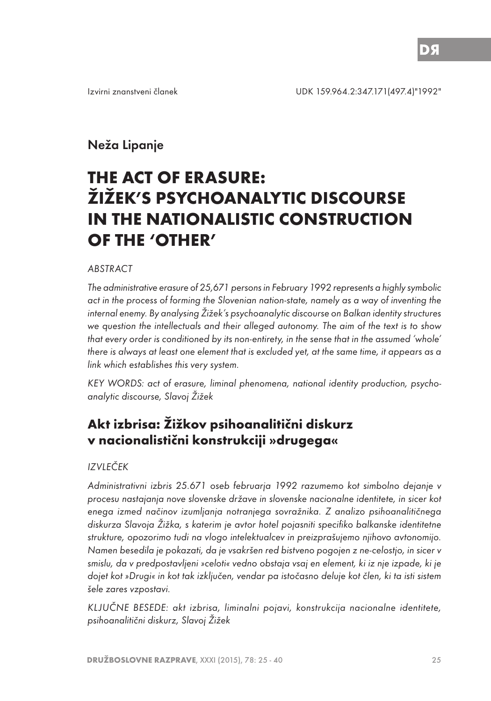# Neža Lipanje

# **THE ACT OF ERASURE: ŽIŽEK'S PSYCHOANALYTIC DISCOURSE IN THE NATIONALISTIC CONSTRUCTION OF THE 'OTHER'**

#### **ABSTRACT**

The administrative erasure of 25,671 persons in February 1992 represents a highly symbolic act in the process of forming the Slovenian nation-state, namely as a way of inventing the internal enemy. By analysing Žižek's psychoanalytic discourse on Balkan identity structures we question the intellectuals and their alleged autonomy. The aim of the text is to show that every order is conditioned by its non-entirety, in the sense that in the assumed 'whole' there is always at least one element that is excluded yet, at the same time, it appears as a link which establishes this very system.

KEY WORDS: act of erasure, liminal phenomena, national identity production, psychoanalytic discourse, Slavoj Žižek

# **Akt izbrisa: Žižkov psihoanalitični diskurz v nacionalistični konstrukciji »drugega«**

#### IZVLEČEK

Administrativni izbris 25.671 oseb februarja 1992 razumemo kot simbolno dejanje v procesu nastajanja nove slovenske države in slovenske nacionalne identitete, in sicer kot enega izmed načinov izumljanja notranjega sovražnika. Z analizo psihoanalitičnega diskurza Slavoja Žižka, s katerim je avtor hotel pojasniti specifiko balkanske identitetne strukture, opozorimo tudi na vlogo intelektualcev in preizprašujemo njihovo avtonomijo. Namen besedila je pokazati, da je vsakršen red bistveno pogojen z ne-celostjo, in sicer v smislu, da v predpostavljeni »celoti« vedno obstaja vsaj en element, ki iz nje izpade, ki je dojet kot »Drugi« in kot tak izključen, vendar pa istočasno deluje kot člen, ki ta isti sistem šele zares vzpostavi.

KLJUČNE BESEDE: akt izbrisa, liminalni pojavi, konstrukcija nacionalne identitete, psihoanalitični diskurz, Slavoj Žižek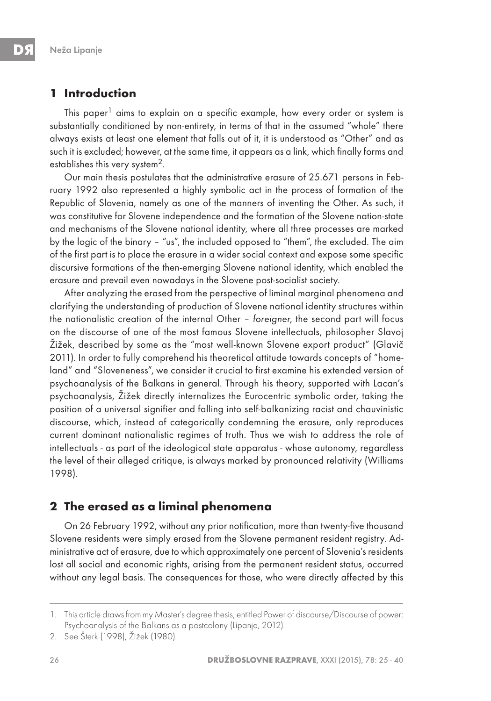## **1 Introduction**

This paper<sup>1</sup> aims to explain on a specific example, how every order or system is substantially conditioned by non-entirety, in terms of that in the assumed "whole" there always exists at least one element that falls out of it, it is understood as "Other" and as such it is excluded; however, at the same time, it appears as a link, which finally forms and establishes this very system<sup>2</sup>.

Our main thesis postulates that the administrative erasure of 25.671 persons in February 1992 also represented a highly symbolic act in the process of formation of the Republic of Slovenia, namely as one of the manners of inventing the Other. As such, it was constitutive for Slovene independence and the formation of the Slovene nation-state and mechanisms of the Slovene national identity, where all three processes are marked by the logic of the binary – "us", the included opposed to "them", the excluded. The aim of the first part is to place the erasure in a wider social context and expose some specific discursive formations of the then-emerging Slovene national identity, which enabled the erasure and prevail even nowadays in the Slovene post-socialist society.

After analyzing the erased from the perspective of liminal marginal phenomena and clarifying the understanding of production of Slovene national identity structures within the nationalistic creation of the internal Other – foreigner, the second part will focus on the discourse of one of the most famous Slovene intellectuals, philosopher Slavoj Žižek, described by some as the "most well-known Slovene export product" (Glavič 2011). In order to fully comprehend his theoretical attitude towards concepts of "homeland" and "Sloveneness", we consider it crucial to first examine his extended version of psychoanalysis of the Balkans in general. Through his theory, supported with Lacan's psychoanalysis, Žižek directly internalizes the Eurocentric symbolic order, taking the position of a universal signifier and falling into self-balkanizing racist and chauvinistic discourse, which, instead of categorically condemning the erasure, only reproduces current dominant nationalistic regimes of truth. Thus we wish to address the role of intellectuals - as part of the ideological state apparatus - whose autonomy, regardless the level of their alleged critique, is always marked by pronounced relativity (Williams 1998).

#### **2 The erased as a liminal phenomena**

On 26 February 1992, without any prior notification, more than twenty-five thousand Slovene residents were simply erased from the Slovene permanent resident registry. Administrative act of erasure, due to which approximately one percent of Slovenia's residents lost all social and economic rights, arising from the permanent resident status, occurred without any legal basis. The consequences for those, who were directly affected by this

<sup>1.</sup> This article draws from my Master's degree thesis, entitled Power of discourse/Discourse of power: Psychoanalysis of the Balkans as a postcolony (Lipanje, 2012).

<sup>2.</sup> See Šterk (1998), Žižek (1980).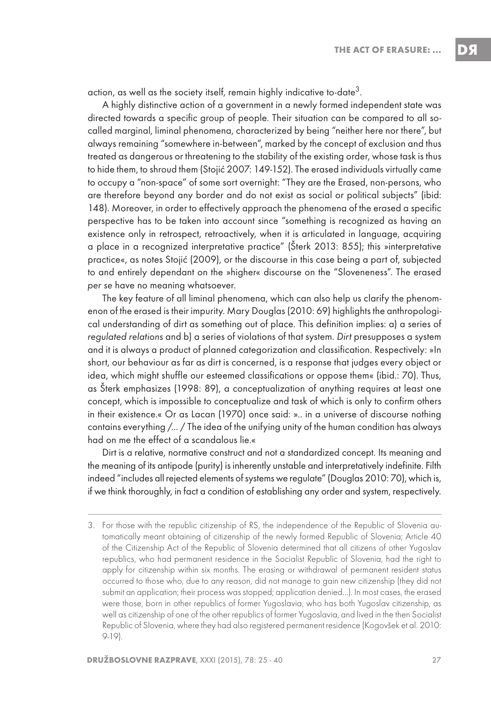action, as well as the society itself, remain highly indicative to-date<sup>3</sup>.

A highly distinctive action of a government in a newly formed independent state was directed towards a specific group of people. Their situation can be compared to all socalled marginal, liminal phenomena, characterized by being "neither here nor there", but always remaining "somewhere in-between", marked by the concept of exclusion and thus treated as dangerous or threatening to the stability of the existing order, whose task is thus to hide them, to shroud them (Stojić 2007: 149-152). The erased individuals virtually came to occupy a "non-space" of some sort overnight: "They are the Erased, non-persons, who are therefore beyond any border and do not exist as social or political subjects" (ibid: 148). Moreover, in order to effectively approach the phenomena of the erased a specific perspective has to be taken into account since "something is recognized as having an existence only in retrospect, retroactively, when it is articulated in language, acquiring a place in a recognized interpretative practice" (Šterk 2013: 855); this »interpretative practice«, as notes Stojić (2009), or the discourse in this case being a part of, subjected to and entirely dependant on the »higher« discourse on the "Sloveneness". The erased per se have no meaning whatsoever.

The key feature of all liminal phenomena, which can also help us clarify the phenomenon of the erased is their impurity. Mary Douglas (2010: 69) highlights the anthropological understanding of dirt as something out of place. This definition implies: a) a series of regulated relations and b) a series of violations of that system. Dirt presupposes a system and it is always a product of planned categorization and classification. Respectively: »In short, our behaviour as far as dirt is concerned, is a response that judges every object or idea, which might shuffle our esteemed classifications or oppose them« (ibid.: 70). Thus, as Šterk emphasizes (1998: 89), a conceptualization of anything requires at least one concept, which is impossible to conceptualize and task of which is only to confirm others in their existence.« Or as Lacan (1970) once said: ».. in a universe of discourse nothing contains everything /... / The idea of the unifying unity of the human condition has always had on me the effect of a scandalous lie.«

Dirt is a relative, normative construct and not a standardized concept. Its meaning and the meaning of its antipode (purity) is inherently unstable and interpretatively indefinite. Filth indeed "includes all rejected elements of systems we regulate" (Douglas 2010: 70), which is, if we think thoroughly, in fact a condition of establishing any order and system, respectively.

<sup>3.</sup> For those with the republic citizenship of RS, the independence of the Republic of Slovenia automatically meant obtaining of citizenship of the newly formed Republic of Slovenia; Article 40 of the Citizenship Act of the Republic of Slovenia determined that all citizens of other Yugoslav republics, who had permanent residence in the Socialist Republic of Slovenia, had the right to apply for citizenship within six months. The erasing or withdrawal of permanent resident status occurred to those who, due to any reason, did not manage to gain new citizenship (they did not submit an application; their process was stopped; application denied…). In most cases, the erased were those, born in other republics of former Yugoslavia, who has both Yugoslav citizenship, as well as citizenship of one of the other republics of former Yugoslavia, and lived in the then Socialist Republic of Slovenia, where they had also registered permanent residence (Kogovšek et al. 2010: 9-19).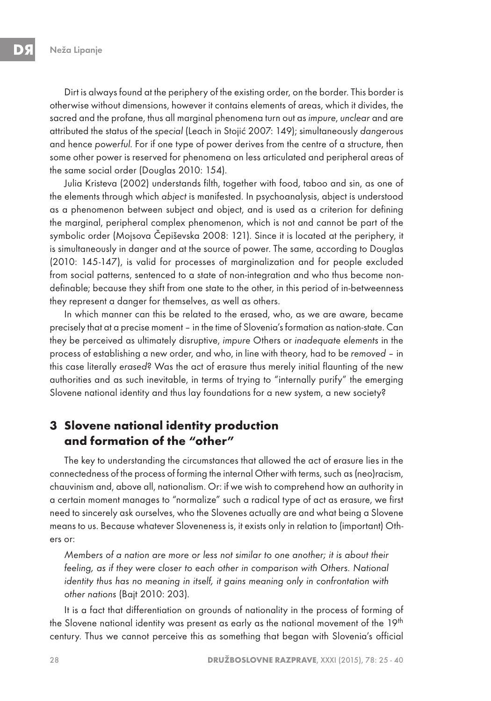Dirt is always found at the periphery of the existing order, on the border. This border is otherwise without dimensions, however it contains elements of areas, which it divides, the sacred and the profane, thus all marginal phenomena turn out as impure, unclear and are attributed the status of the special (Leach in Stojić 2007: 149); simultaneously dangerous and hence powerful. For if one type of power derives from the centre of a structure, then some other power is reserved for phenomena on less articulated and peripheral areas of the same social order (Douglas 2010: 154).

Julia Kristeva (2002) understands filth, together with food, taboo and sin, as one of the elements through which abject is manifested. In psychoanalysis, abject is understood as a phenomenon between subject and object, and is used as a criterion for defining the marginal, peripheral complex phenomenon, which is not and cannot be part of the symbolic order (Mojsova Čepiševska 2008: 121). Since it is located at the periphery, it is simultaneously in danger and at the source of power. The same, according to Douglas (2010: 145-147), is valid for processes of marginalization and for people excluded from social patterns, sentenced to a state of non-integration and who thus become nondefinable; because they shift from one state to the other, in this period of in-betweenness they represent a danger for themselves, as well as others.

In which manner can this be related to the erased, who, as we are aware, became precisely that at a precise moment – in the time of Slovenia's formation as nation-state. Can they be perceived as ultimately disruptive, impure Others or inadequate elements in the process of establishing a new order, and who, in line with theory, had to be removed – in this case literally erased? Was the act of erasure thus merely initial flaunting of the new authorities and as such inevitable, in terms of trying to "internally purify" the emerging Slovene national identity and thus lay foundations for a new system, a new society?

# **3 Slovene national identity production and formation of the "other"**

The key to understanding the circumstances that allowed the act of erasure lies in the connectedness of the process of forming the internal Other with terms, such as (neo)racism, chauvinism and, above all, nationalism. Or: if we wish to comprehend how an authority in a certain moment manages to "normalize" such a radical type of act as erasure, we first need to sincerely ask ourselves, who the Slovenes actually are and what being a Slovene means to us. Because whatever Sloveneness is, it exists only in relation to (important) Others or:

Members of a nation are more or less not similar to one another; it is about their feeling, as if they were closer to each other in comparison with Others. National identity thus has no meaning in itself, it gains meaning only in confrontation with other nations (Bajt 2010: 203).

It is a fact that differentiation on grounds of nationality in the process of forming of the Slovene national identity was present as early as the national movement of the 19<sup>th</sup> century. Thus we cannot perceive this as something that began with Slovenia's official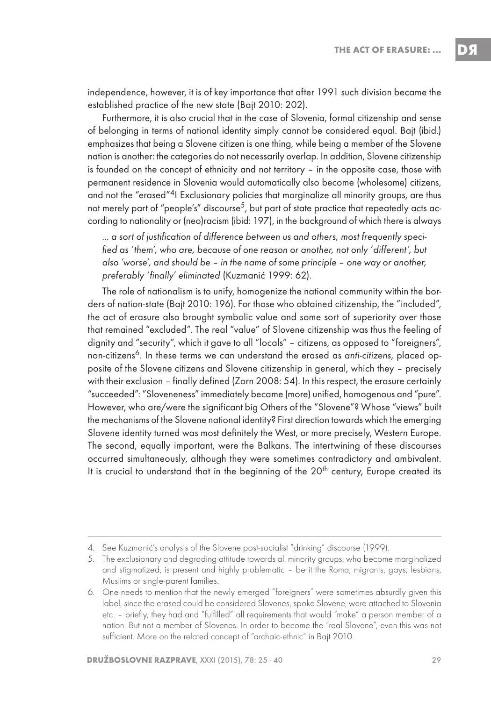independence, however, it is of key importance that after 1991 such division became the established practice of the new state (Bajt 2010: 202).

Furthermore, it is also crucial that in the case of Slovenia, formal citizenship and sense of belonging in terms of national identity simply cannot be considered equal. Bajt (ibid.) emphasizes that being a Slovene citizen is one thing, while being a member of the Slovene nation is another: the categories do not necessarily overlap. In addition, Slovene citizenship is founded on the concept of ethnicity and not territory – in the opposite case, those with permanent residence in Slovenia would automatically also become (wholesome) citizens, and not the "erased"<sup>4</sup>! Exclusionary policies that marginalize all minority groups, are thus not merely part of "people's" discourse $^5$ , but part of state practice that repeatedly acts according to nationality or (neo)racism (ibid: 197), in the background of which there is always

… a sort of justification of difference between us and others, most frequently specified as 'them', who are, because of one reason or another, not only 'different', but also 'worse', and should be – in the name of some principle – one way or another, preferably 'finally' eliminated (Kuzmanić 1999: 62).

The role of nationalism is to unify, homogenize the national community within the borders of nation-state (Bajt 2010: 196). For those who obtained citizenship, the "included", the act of erasure also brought symbolic value and some sort of superiority over those that remained "excluded". The real "value" of Slovene citizenship was thus the feeling of dignity and "security", which it gave to all "locals" – citizens, as opposed to "foreigners", non-citizens<sup>6</sup>. In these terms we can understand the erased as anti-citizens, placed opposite of the Slovene citizens and Slovene citizenship in general, which they – precisely with their exclusion – finally defined (Zorn 2008: 54). In this respect, the erasure certainly "succeeded": "Sloveneness" immediately became (more) unified, homogenous and "pure". However, who are/were the significant big Others of the "Slovene"? Whose "views" built the mechanisms of the Slovene national identity? First direction towards which the emerging Slovene identity turned was most definitely the West, or more precisely, Western Europe. The second, equally important, were the Balkans. The intertwining of these discourses occurred simultaneously, although they were sometimes contradictory and ambivalent. It is crucial to understand that in the beginning of the 20<sup>th</sup> century, Europe created its

<sup>4.</sup> See Kuzmanić's analysis of the Slovene post-socialist "drinking" discourse (1999).

<sup>5.</sup> The exclusionary and degrading attitude towards all minority groups, who become marginalized and stigmatized, is present and highly problematic – be it the Roma, migrants, gays, lesbians, Muslims or single-parent families.

<sup>6.</sup> One needs to mention that the newly emerged "foreigners" were sometimes absurdly given this label, since the erased could be considered Slovenes, spoke Slovene, were attached to Slovenia etc. – briefly, they had and "fulfilled" all requirements that would "make" a person member of a nation. But not a member of Slovenes. In order to become the "real Slovene", even this was not sufficient. More on the related concept of "archaic-ethnic" in Bajt 2010.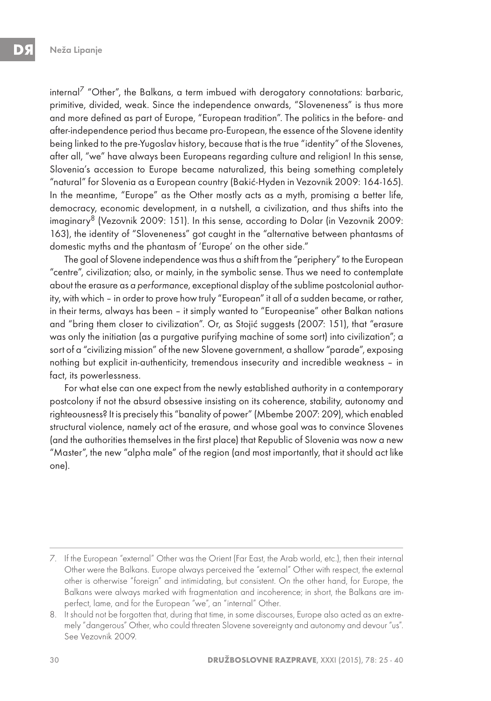internal<sup>7</sup> "Other", the Balkans, a term imbued with derogatory connotations: barbaric, primitive, divided, weak. Since the independence onwards, "Sloveneness" is thus more and more defined as part of Europe, "European tradition". The politics in the before- and after-independence period thus became pro-European, the essence of the Slovene identity being linked to the pre-Yugoslav history, because that is the true "identity" of the Slovenes, after all, "we" have always been Europeans regarding culture and religion! In this sense, Slovenia's accession to Europe became naturalized, this being something completely "natural" for Slovenia as a European country (Bakić-Hyden in Vezovnik 2009: 164-165). In the meantime, "Europe" as the Other mostly acts as a myth, promising a better life, democracy, economic development, in a nutshell, a civilization, and thus shifts into the imaginary<sup>8</sup> (Vezovnik 2009: 151). In this sense, according to Dolar (in Vezovnik 2009: 163), the identity of "Sloveneness" got caught in the "alternative between phantasms of domestic myths and the phantasm of 'Europe' on the other side."

The goal of Slovene independence was thus a shift from the "periphery" to the European "centre", civilization; also, or mainly, in the symbolic sense. Thus we need to contemplate about the erasure as a performance, exceptional display of the sublime postcolonial authority, with which – in order to prove how truly "European" it all of a sudden became, or rather, in their terms, always has been – it simply wanted to "Europeanise" other Balkan nations and "bring them closer to civilization". Or, as Stojić suggests (2007: 151), that "erasure was only the initiation (as a purgative purifying machine of some sort) into civilization"; a sort of a "civilizing mission" of the new Slovene government, a shallow "parade", exposing nothing but explicit in-authenticity, tremendous insecurity and incredible weakness – in fact, its powerlessness.

For what else can one expect from the newly established authority in a contemporary postcolony if not the absurd obsessive insisting on its coherence, stability, autonomy and righteousness? It is precisely this "banality of power" (Mbembe 2007: 209), which enabled structural violence, namely act of the erasure, and whose goal was to convince Slovenes (and the authorities themselves in the first place) that Republic of Slovenia was now a new "Master", the new "alpha male" of the region (and most importantly, that it should act like one).

<sup>7.</sup> If the European "external" Other was the Orient (Far East, the Arab world, etc.), then their internal Other were the Balkans. Europe always perceived the "external" Other with respect, the external other is otherwise "foreign" and intimidating, but consistent. On the other hand, for Europe, the Balkans were always marked with fragmentation and incoherence; in short, the Balkans are imperfect, lame, and for the European "we", an "internal" Other.

<sup>8.</sup> It should not be forgotten that, during that time, in some discourses, Europe also acted as an extremely "dangerous" Other, who could threaten Slovene sovereignty and autonomy and devour "us". See Vezovnik 2009.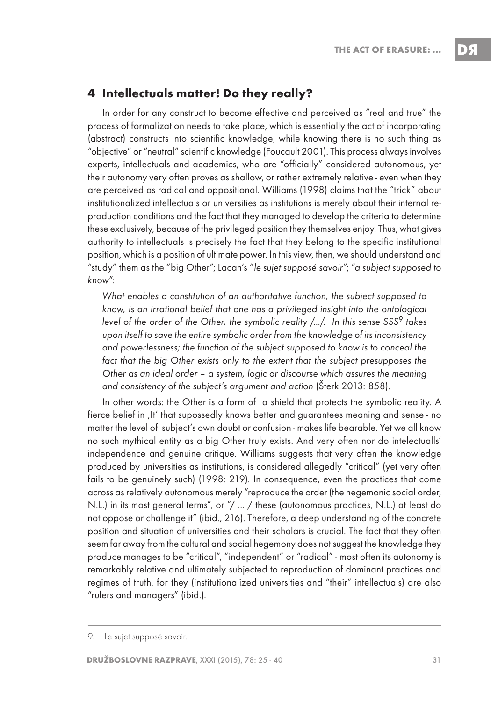### **4 Intellectuals matter! Do they really?**

In order for any construct to become effective and perceived as "real and true" the process of formalization needs to take place, which is essentially the act of incorporating (abstract) constructs into scientific knowledge, while knowing there is no such thing as "objective" or "neutral" scientific knowledge (Foucault 2001). This process always involves experts, intellectuals and academics, who are "officially" considered autonomous, yet their autonomy very often proves as shallow, or rather extremely relative - even when they are perceived as radical and oppositional. Williams (1998) claims that the "trick" about institutionalized intellectuals or universities as institutions is merely about their internal reproduction conditions and the fact that they managed to develop the criteria to determine these exclusively, because of the privileged position they themselves enjoy. Thus, what gives authority to intellectuals is precisely the fact that they belong to the specific institutional position, which is a position of ultimate power. In this view, then, we should understand and "study" them as the "big Other"; Lacan's "le sujet supposé savoir"; "a subject supposed to know":

What enables a constitution of an authoritative function, the subject supposed to know, is an irrational belief that one has a privileged insight into the ontological level of the order of the Other, the symbolic reality  $\ldots$ . In this sense SSS<sup>9</sup> takes upon itself to save the entire symbolic order from the knowledge of its inconsistency and powerlessness; the function of the subject supposed to know is to conceal the fact that the big Other exists only to the extent that the subject presupposes the Other as an ideal order – a system, logic or discourse which assures the meaning and consistency of the subject's argument and action (Šterk 2013: 858).

In other words: the Other is a form of a shield that protects the symbolic reality. A fierce belief in , It' that supossedly knows better and guarantees meaning and sense - no matter the level of subject's own doubt or confusion - makes life bearable. Yet we all know no such mythical entity as a big Other truly exists. And very often nor do intelectualls' independence and genuine critique. Williams suggests that very often the knowledge produced by universities as institutions, is considered allegedly "critical" (yet very often fails to be genuinely such) (1998: 219). In consequence, even the practices that come across as relatively autonomous merely "reproduce the order (the hegemonic social order, N.L.) in its most general terms", or "/ ... / these (autonomous practices, N.L.) at least do not oppose or challenge it" (ibid., 216). Therefore, a deep understanding of the concrete position and situation of universities and their scholars is crucial. The fact that they often seem far away from the cultural and social hegemony does not suggest the knowledge they produce manages to be "critical", "independent" or "radical" - most often its autonomy is remarkably relative and ultimately subjected to reproduction of dominant practices and regimes of truth, for they (institutionalized universities and "their" intellectuals) are also "rulers and managers" (ibid.).

<sup>9.</sup> Le sujet supposé savoir.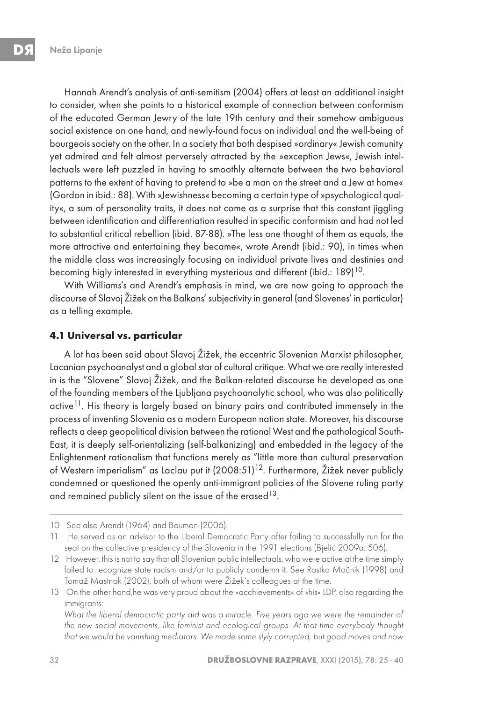Hannah Arendt's analysis of anti-semitism (2004) offers at least an additional insight to consider, when she points to a historical example of connection between conformism of the educated German Jewry of the late 19th century and their somehow ambiguous social existence on one hand, and newly-found focus on individual and the well-being of bourgeois society on the other. In a society that both despised »ordinary« Jewish comunity yet admired and felt almost perversely attracted by the »exception Jews«, Jewish intellectuals were left puzzled in having to smoothly alternate between the two behavioral patterns to the extent of having to pretend to »be a man on the street and a Jew at home« (Gordon in ibid.: 88). With »Jewishness« becoming a certain type of »psychological quality«, a sum of personality traits, it does not come as a surprise that this constant jiggling between identification and differentiation resulted in specific conformism and had not led to substantial critical rebellion (ibid. 87-88). »The less one thought of them as equals, the more attractive and entertaining they became«, wrote Arendt (ibid.: 90), in times when the middle class was increasingly focusing on individual private lives and destinies and becoming higly interested in everything mysterious and different (ibid.: 189)<sup>10</sup>.

With Williams's and Arendt's emphasis in mind, we are now going to approach the discourse of Slavoj Žižek on the Balkans' subjectivity in general (and Slovenes' in particular) as a telling example.

#### **4.1 Universal vs. particular**

A lot has been said about Slavoj Žižek, the eccentric Slovenian Marxist philosopher, Lacanian psychoanalyst and a global star of cultural critique. What we are really interested in is the "Slovene" Slavoj Žižek, and the Balkan-related discourse he developed as one of the founding members of the Ljubljana psychoanalytic school, who was also politically active<sup>11</sup>. His theory is largely based on binary pairs and contributed immensely in the process of inventing Slovenia as a modern European nation state. Moreover, his discourse reflects a deep geopolitical division between the rational West and the pathological South-East, it is deeply self-orientalizing (self-balkanizing) and embedded in the legacy of the Enlightenment rationalism that functions merely as "little more than cultural preservation of Western imperialism" as Laclau put it (2008:51)<sup>12</sup>. Furthermore, Žižek never publicly condemned or questioned the openly anti-immigrant policies of the Slovene ruling party and remained publicly silent on the issue of the erased  $13$ .

<sup>10</sup> See also Arendt (1964) and Bauman (2006).

<sup>11</sup> He served as an advisor to the Liberal Democratic Party after failing to successfully run for the seat on the collective presidency of the Slovenia in the 1991 elections (Bjelić 2009a: 506).

<sup>12</sup> However, this is not to say that all Slovenian public intellectuals, who were active at the time simply failed to recognize state racism and/or to publicly condemn it. See Rastko Močnik (1998) and Tomaž Mastnak (2002), both of whom were Žižek's colleagues at the time.

<sup>13</sup> On the other hand,he was very proud about the »acchievements« of »his« LDP, also regarding the immigrants:

What the liberal democratic party did was a miracle. Five years ago we were the remainder of the new social movements, like feminist and ecological groups. At that time everybody thought that we would be vanishing mediators. We made some slyly corrupted, but good moves and now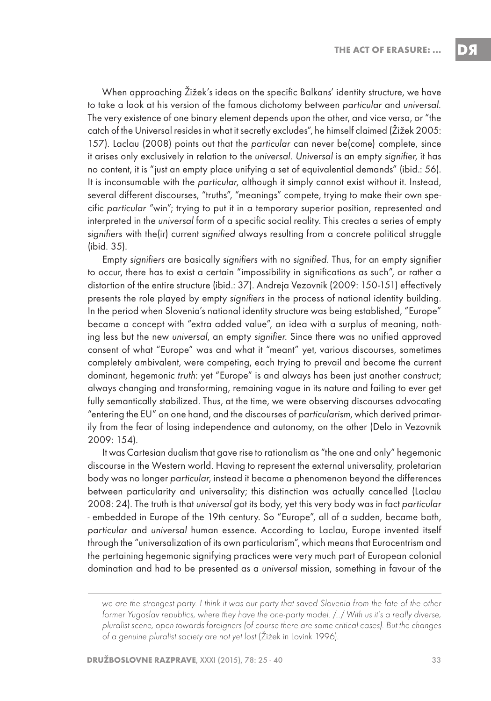When approaching Žižek's ideas on the specific Balkans' identity structure, we have to take a look at his version of the famous dichotomy between particular and universal. The very existence of one binary element depends upon the other, and vice versa, or "the catch of the Universal resides in what it secretly excludes", he himself claimed (Žižek 2005: 157). Laclau (2008) points out that the particular can never be(come) complete, since it arises only exclusively in relation to the universal. Universal is an empty signifier, it has no content, it is "just an empty place unifying a set of equivalential demands" (ibid.: 56). It is inconsumable with the particular, although it simply cannot exist without it. Instead, several different discourses, "truths", "meanings" compete, trying to make their own specific particular "win"; trying to put it in a temporary superior position, represented and interpreted in the universal form of a specific social reality. This creates a series of empty signifiers with the(ir) current signified always resulting from a concrete political struggle (ibid. 35).

Empty signifiers are basically signifiers with no signified. Thus, for an empty signifier to occur, there has to exist a certain "impossibility in significations as such", or rather a distortion of the entire structure (ibid.: 37). Andreja Vezovnik (2009: 150-151) effectively presents the role played by empty signifiers in the process of national identity building. In the period when Slovenia's national identity structure was being established, "Europe" became a concept with "extra added value", an idea with a surplus of meaning, nothing less but the new universal, an empty signifier. Since there was no unified approved consent of what "Europe" was and what it "meant" yet, various discourses, sometimes completely ambivalent, were competing, each trying to prevail and become the current dominant, hegemonic truth: yet "Europe" is and always has been just another construct; always changing and transforming, remaining vague in its nature and failing to ever get fully semantically stabilized. Thus, at the time, we were observing discourses advocating "entering the EU" on one hand, and the discourses of particularism, which derived primarily from the fear of losing independence and autonomy, on the other (Delo in Vezovnik 2009: 154).

It was Cartesian dualism that gave rise to rationalism as "the one and only" hegemonic discourse in the Western world. Having to represent the external universality, proletarian body was no longer particular, instead it became a phenomenon beyond the differences between particularity and universality; this distinction was actually cancelled (Laclau 2008: 24). The truth is that universal got its body, yet this very body was in fact particular - embedded in Europe of the 19th century. So "Europe", all of a sudden, became both, particular and universal human essence. According to Laclau, Europe invented itself through the "universalization of its own particularism", which means that Eurocentrism and the pertaining hegemonic signifying practices were very much part of European colonial domination and had to be presented as a universal mission, something in favour of the

we are the strongest party. I think it was our party that saved Slovenia from the fate of the other former Yugoslav republics, where they have the one-party model. /…/ With us it's a really diverse, pluralist scene, open towards foreigners (of course there are some critical cases). But the changes of a genuine pluralist society are not yet lost (Žižek in Lovink 1996).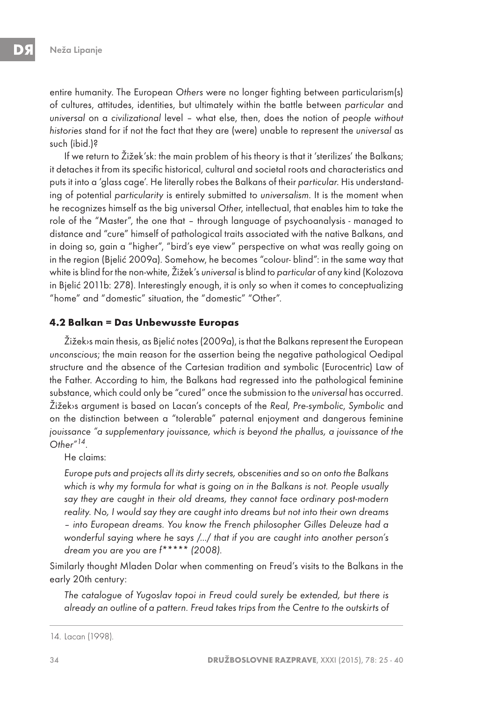entire humanity. The European Others were no longer fighting between particularism(s) of cultures, attitudes, identities, but ultimately within the battle between particular and universal on a civilizational level – what else, then, does the notion of people without histories stand for if not the fact that they are (were) unable to represent the universal as such (ibid.)?

If we return to Žižek'sk: the main problem of his theory is that it 'sterilizes' the Balkans; it detaches it from its specific historical, cultural and societal roots and characteristics and puts it into a 'glass cage'. He literally robes the Balkans of their particular. His understanding of potential particularity is entirely submitted to universalism. It is the moment when he recognizes himself as the big universal Other, intellectual, that enables him to take the role of the "Master", the one that – through language of psychoanalysis - managed to distance and "cure" himself of pathological traits associated with the native Balkans, and in doing so, gain a "higher", "bird's eye view" perspective on what was really going on in the region (Bjelić 2009a). Somehow, he becomes "colour- blind": in the same way that white is blind for the non-white, Žižek's universal is blind to particular of any kind (Kolozova in Bjelić 2011b: 278). Interestingly enough, it is only so when it comes to conceptualizing "home" and "domestic" situation, the "domestic" "Other".

#### **4.2 Balkan = Das Unbewusste Europas**

Žižek›s main thesis, as Bjelić notes (2009a), is that the Balkans represent the European unconscious; the main reason for the assertion being the negative pathological Oedipal structure and the absence of the Cartesian tradition and symbolic (Eurocentric) Law of the Father. According to him, the Balkans had regressed into the pathological feminine substance, which could only be "cured" once the submission to the universal has occurred. Žižek›s argument is based on Lacan's concepts of the Real, Pre-symbolic, Symbolic and on the distinction between a "tolerable" paternal enjoyment and dangerous feminine jouissance "a supplementary jouissance, which is beyond the phallus, a jouissance of the Other"14.

He claims:

Europe puts and projects all its dirty secrets, obscenities and so on onto the Balkans which is why my formula for what is going on in the Balkans is not. People usually say they are caught in their old dreams, they cannot face ordinary post-modern reality. No, I would say they are caught into dreams but not into their own dreams – into European dreams. You know the French philosopher Gilles Deleuze had a wonderful saying where he says /…/ that if you are caught into another person's dream you are you are f\*\*\*\*\* (2008).

Similarly thought Mladen Dolar when commenting on Freud's visits to the Balkans in the early 20th century:

The catalogue of Yugoslav topoi in Freud could surely be extended, but there is already an outline of a pattern. Freud takes trips from the Centre to the outskirts of

<sup>14.</sup> Lacan (1998).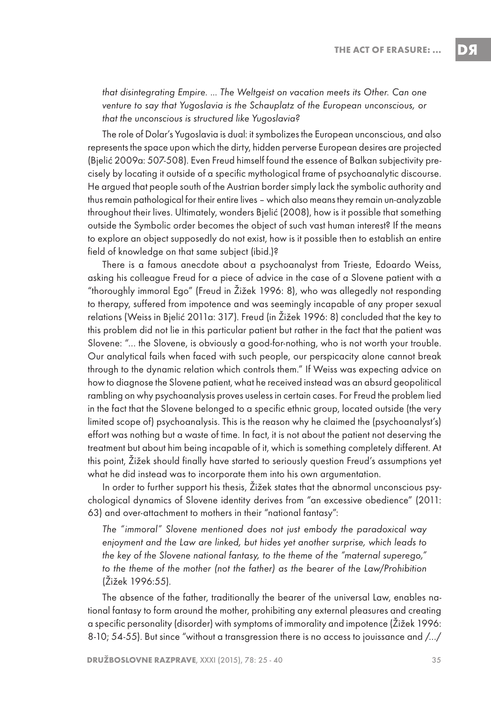that disintegrating Empire. … The Weltgeist on vacation meets its Other. Can one venture to say that Yugoslavia is the Schauplatz of the European unconscious, or that the unconscious is structured like Yugoslavia?

The role of Dolar's Yugoslavia is dual: it symbolizes the European unconscious, and also represents the space upon which the dirty, hidden perverse European desires are projected (Bjelić 2009a: 507-508). Even Freud himself found the essence of Balkan subjectivity precisely by locating it outside of a specific mythological frame of psychoanalytic discourse. He argued that people south of the Austrian border simply lack the symbolic authority and thus remain pathological for their entire lives – which also means they remain un-analyzable throughout their lives. Ultimately, wonders Bjelić (2008), how is it possible that something outside the Symbolic order becomes the object of such vast human interest? If the means to explore an object supposedly do not exist, how is it possible then to establish an entire field of knowledge on that same subject (ibid.)?

There is a famous anecdote about a psychoanalyst from Trieste, Edoardo Weiss, asking his colleague Freud for a piece of advice in the case of a Slovene patient with a "thoroughly immoral Ego" (Freud in Žižek 1996: 8), who was allegedly not responding to therapy, suffered from impotence and was seemingly incapable of any proper sexual relations (Weiss in Bjelić 2011a: 317). Freud (in Žižek 1996: 8) concluded that the key to this problem did not lie in this particular patient but rather in the fact that the patient was Slovene: "… the Slovene, is obviously a good-for-nothing, who is not worth your trouble. Our analytical fails when faced with such people, our perspicacity alone cannot break through to the dynamic relation which controls them." If Weiss was expecting advice on how to diagnose the Slovene patient, what he received instead was an absurd geopolitical rambling on why psychoanalysis proves useless in certain cases. For Freud the problem lied in the fact that the Slovene belonged to a specific ethnic group, located outside (the very limited scope of) psychoanalysis. This is the reason why he claimed the (psychoanalyst's) effort was nothing but a waste of time. In fact, it is not about the patient not deserving the treatment but about him being incapable of it, which is something completely different. At this point, Žižek should finally have started to seriously question Freud's assumptions yet what he did instead was to incorporate them into his own argumentation.

In order to further support his thesis, Žižek states that the abnormal unconscious psychological dynamics of Slovene identity derives from "an excessive obedience" (2011: 63) and over-attachment to mothers in their "national fantasy":

The "immoral" Slovene mentioned does not just embody the paradoxical way enjoyment and the Law are linked, but hides yet another surprise, which leads to the key of the Slovene national fantasy, to the theme of the "maternal superego," to the theme of the mother (not the father) as the bearer of the Law/Prohibition (Žižek 1996:55).

The absence of the father, traditionally the bearer of the universal Law, enables national fantasy to form around the mother, prohibiting any external pleasures and creating a specific personality (disorder) with symptoms of immorality and impotence (Žižek 1996: 8-10; 54-55). But since "without a transgression there is no access to jouissance and /…/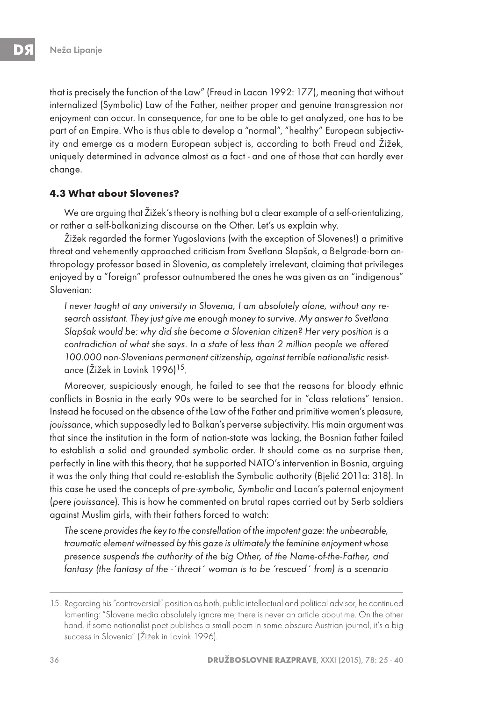that is precisely the function of the Law" (Freud in Lacan 1992: 177), meaning that without internalized (Symbolic) Law of the Father, neither proper and genuine transgression nor enjoyment can occur. In consequence, for one to be able to get analyzed, one has to be part of an Empire. Who is thus able to develop a "normal", "healthy" European subjectivity and emerge as a modern European subject is, according to both Freud and Žižek, uniquely determined in advance almost as a fact - and one of those that can hardly ever change.

#### **4.3 What about Slovenes?**

We are arguing that Žižek's theory is nothing but a clear example of a self-orientalizing, or rather a self-balkanizing discourse on the Other. Let's us explain why.

Žižek regarded the former Yugoslavians (with the exception of Slovenes!) a primitive threat and vehemently approached criticism from Svetlana Slapšak, a Belgrade-born anthropology professor based in Slovenia, as completely irrelevant, claiming that privileges enjoyed by a "foreign" professor outnumbered the ones he was given as an "indigenous" Slovenian:

I never taught at any university in Slovenia, I am absolutely alone, without any research assistant. They just give me enough money to survive. My answer to Svetlana Slapšak would be: why did she become a Slovenian citizen? Her very position is a contradiction of what she says. In a state of less than 2 million people we offered 100.000 non-Slovenians permanent citizenship, against terrible nationalistic resistance (Žižek in Lovink 1996)<sup>15</sup>.

Moreover, suspiciously enough, he failed to see that the reasons for bloody ethnic conflicts in Bosnia in the early 90s were to be searched for in "class relations" tension. Instead he focused on the absence of the Law of the Father and primitive women's pleasure, jouissance, which supposedly led to Balkan's perverse subjectivity. His main argument was that since the institution in the form of nation-state was lacking, the Bosnian father failed to establish a solid and grounded symbolic order. It should come as no surprise then, perfectly in line with this theory, that he supported NATO's intervention in Bosnia, arguing it was the only thing that could re-establish the Symbolic authority (Bjelić 2011a: 318). In this case he used the concepts of pre-symbolic, Symbolic and Lacan's paternal enjoyment (pere jouissance). This is how he commented on brutal rapes carried out by Serb soldiers against Muslim girls, with their fathers forced to watch:

The scene provides the key to the constellation of the impotent gaze: the unbearable, traumatic element witnessed by this gaze is ultimately the feminine enjoyment whose presence suspends the authority of the big Other, of the Name-of-the-Father, and fantasy (the fantasy of the -´threat´ woman is to be 'rescued´ from) is a scenario

<sup>15.</sup> Regarding his "controversial" position as both, public intellectual and political advisor, he continued lamenting: "Slovene media absolutely ignore me, there is never an article about me. On the other hand, if some nationalist poet publishes a small poem in some obscure Austrian journal, it's a big success in Slovenia" (Žižek in Lovink 1996).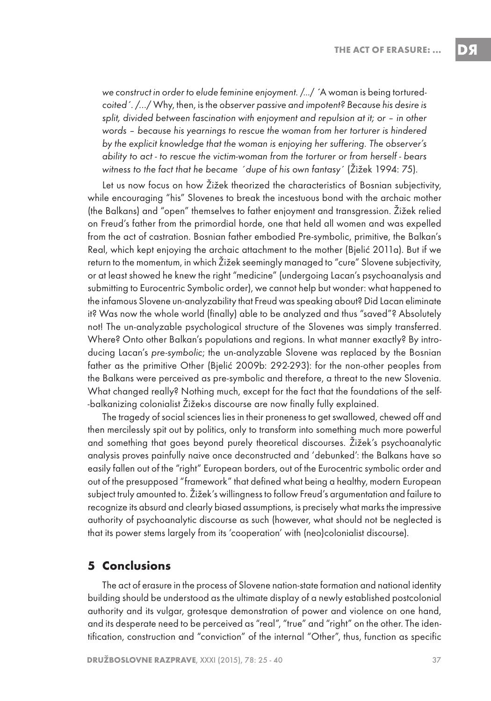we construct in order to elude feminine enjoyment. /…/ ´A woman is being torturedcoited´. /…/ Why, then, is the observer passive and impotent? Because his desire is split, divided between fascination with enjoyment and repulsion at it; or – in other words – because his yearnings to rescue the woman from her torturer is hindered by the explicit knowledge that the woman is enjoying her suffering. The observer's ability to act - to rescue the victim-woman from the torturer or from herself - bears witness to the fact that he became ´dupe of his own fantasy´ (Žižek 1994: 75).

Let us now focus on how Žižek theorized the characteristics of Bosnian subjectivity, while encouraging "his" Slovenes to break the incestuous bond with the archaic mother (the Balkans) and "open" themselves to father enjoyment and transgression. Žižek relied on Freud's father from the primordial horde, one that held all women and was expelled from the act of castration. Bosnian father embodied Pre-symbolic, primitive, the Balkan's Real, which kept enjoying the archaic attachment to the mother (Bjelić 2011a). But if we return to the momentum, in which Žižek seemingly managed to "cure" Slovene subjectivity, or at least showed he knew the right "medicine" (undergoing Lacan's psychoanalysis and submitting to Eurocentric Symbolic order), we cannot help but wonder: what happened to the infamous Slovene un-analyzability that Freud was speaking about? Did Lacan eliminate it? Was now the whole world (finally) able to be analyzed and thus "saved"? Absolutely not! The un-analyzable psychological structure of the Slovenes was simply transferred. Where? Onto other Balkan's populations and regions. In what manner exactly? By introducing Lacan's pre-symbolic; the un-analyzable Slovene was replaced by the Bosnian father as the primitive Other (Bjelić 2009b: 292-293): for the non-other peoples from the Balkans were perceived as pre-symbolic and therefore, a threat to the new Slovenia. What changed really? Nothing much, except for the fact that the foundations of the self- -balkanizing colonialist Žižek›s discourse are now finally fully explained.

The tragedy of social sciences lies in their proneness to get swallowed, chewed off and then mercilessly spit out by politics, only to transform into something much more powerful and something that goes beyond purely theoretical discourses. Žižek's psychoanalytic analysis proves painfully naive once deconstructed and 'debunked': the Balkans have so easily fallen out of the "right" European borders, out of the Eurocentric symbolic order and out of the presupposed "framework" that defined what being a healthy, modern European subject truly amounted to. Žižek's willingness to follow Freud's argumentation and failure to recognize its absurd and clearly biased assumptions, is precisely what marks the impressive authority of psychoanalytic discourse as such (however, what should not be neglected is that its power stems largely from its 'cooperation' with (neo)colonialist discourse).

#### **5 Conclusions**

The act of erasure in the process of Slovene nation-state formation and national identity building should be understood as the ultimate display of a newly established postcolonial authority and its vulgar, grotesque demonstration of power and violence on one hand, and its desperate need to be perceived as "real", "true" and "right" on the other. The identification, construction and "conviction" of the internal "Other", thus, function as specific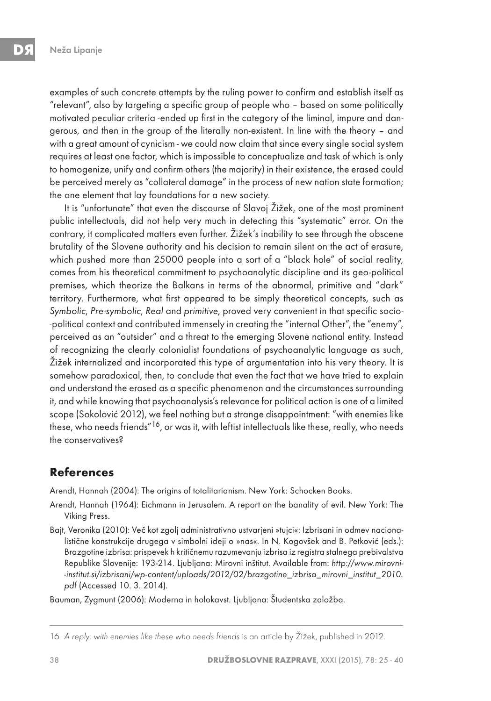examples of such concrete attempts by the ruling power to confirm and establish itself as "relevant", also by targeting a specific group of people who – based on some politically motivated peculiar criteria -ended up first in the category of the liminal, impure and dangerous, and then in the group of the literally non-existent. In line with the theory – and with a great amount of cynicism - we could now claim that since every single social system requires at least one factor, which is impossible to conceptualize and task of which is only to homogenize, unify and confirm others (the majority) in their existence, the erased could be perceived merely as "collateral damage" in the process of new nation state formation; the one element that lay foundations for a new society.

It is "unfortunate" that even the discourse of Slavoj Žižek, one of the most prominent public intellectuals, did not help very much in detecting this "systematic" error. On the contrary, it complicated matters even further. Žižek's inability to see through the obscene brutality of the Slovene authority and his decision to remain silent on the act of erasure, which pushed more than 25000 people into a sort of a "black hole" of social reality, comes from his theoretical commitment to psychoanalytic discipline and its geo-political premises, which theorize the Balkans in terms of the abnormal, primitive and "dark" territory. Furthermore, what first appeared to be simply theoretical concepts, such as Symbolic, Pre-symbolic, Real and primitive, proved very convenient in that specific socio- -political context and contributed immensely in creating the "internal Other", the "enemy", perceived as an "outsider" and a threat to the emerging Slovene national entity. Instead of recognizing the clearly colonialist foundations of psychoanalytic language as such, Žižek internalized and incorporated this type of argumentation into his very theory. It is somehow paradoxical, then, to conclude that even the fact that we have tried to explain and understand the erased as a specific phenomenon and the circumstances surrounding it, and while knowing that psychoanalysis's relevance for political action is one of a limited scope (Sokolović 2012), we feel nothing but a strange disappointment: "with enemies like these, who needs friends"16, or was it, with leftist intellectuals like these, really, who needs the conservatives?

## **References**

Arendt, Hannah (2004): The origins of totalitarianism. New York: Schocken Books.

- Arendt, Hannah (1964): Eichmann in Jerusalem. A report on the banality of evil. New York: The Viking Press.
- Bajt, Veronika (2010): Več kot zgolj administrativno ustvarjeni »tujci«: Izbrisani in odmev nacionalistične konstrukcije drugega v simbolni ideji o »nas«. In N. Kogovšek and B. Petković (eds.): Brazgotine izbrisa: prispevek h kritičnemu razumevanju izbrisa iz registra stalnega prebivalstva Republike Slovenije: 193-214. Ljubljana: Mirovni inštitut. Available from: http://www.mirovni- -institut.si/izbrisani/wp-content/uploads/2012/02/brazgotine\_izbrisa\_mirovni\_institut\_2010. pdf (Accessed 10. 3. 2014).

Bauman, Zygmunt (2006): Moderna in holokavst. Ljubljana: Študentska založba.

<sup>16</sup>. A reply: with enemies like these who needs friends is an article by Žižek, published in 2012.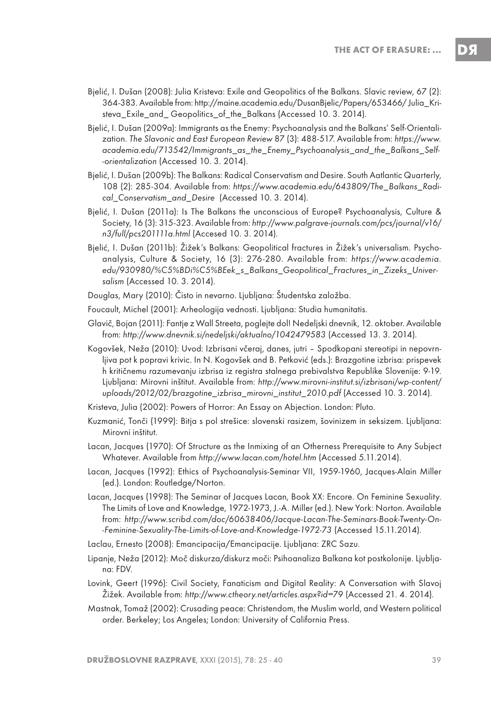- Bjelić, I. Dušan (2008): Julia Kristeva: Exile and Geopolitics of the Balkans. Slavic review, 67 (2): 364-383. Available from: http://maine.academia.edu/DusanBjelic/Papers/653466/ Julia\_Kristeva Exile and Geopolitics of the Balkans (Accessed 10. 3. 2014).
- Bjelić, I. Dušan (2009a): Immigrants as the Enemy: Psychoanalysis and the Balkans' Self-Orientalization. The Slavonic and East European Review 87 (3): 488-517. Available from: https://www. academia.edu/713542/Immigrants\_as\_the\_Enemy\_Psychoanalysis\_and\_the\_Balkans\_Self- -orientalization (Accessed 10. 3. 2014).
- Bjelić, I. Dušan (2009b): The Balkans: Radical Conservatism and Desire. South Aatlantic Quarterly, 108 (2): 285-304. Available from: https://www.academia.edu/643809/The\_Balkans\_Radical\_Conservatism\_and\_Desire (Accessed 10. 3. 2014).
- Bjelić, I. Dušan (2011a): Is The Balkans the unconscious of Europe? Psychoanalysis, Culture & Society, 16 (3): 315-323. Available from: http://www.palgrave-journals.com/pcs/journal/v16/ n3/full/pcs201111a.html (Accesed 10. 3. 2014).
- Bjelić, I. Dušan (2011b): Žižek's Balkans: Geopolitical fractures in Žižek's universalism. Psychoanalysis, Culture & Society, 16 (3): 276-280. Available from: https://www.academia. edu/930980/%C5%BDi%C5%BEek\_s\_Balkans\_Geopolitical\_Fractures\_in\_Zizeks\_Universalism (Accessed 10. 3. 2014).
- Douglas, Mary (2010): Čisto in nevarno. Ljubljana: Študentska založba.
- Foucault, Michel (2001): Arheologija vednosti. Ljubljana: Studia humanitatis.
- Glavič, Bojan (2011): Fantje z Wall Streeta, poglejte dol! Nedeljski dnevnik, 12. oktober. Available from: http://www.dnevnik.si/nedeljski/aktualno/1042479583 (Accessed 13. 3. 2014).
- Kogovšek, Neža (2010): Uvod: Izbrisani včeraj, danes, jutri Spodkopani stereotipi in nepovrnljiva pot k popravi krivic. In N. Kogovšek and B. Petković (eds.): Brazgotine izbrisa: prispevek h kritičnemu razumevanju izbrisa iz registra stalnega prebivalstva Republike Slovenije: 9-19. Ljubljana: Mirovni inštitut. Available from: http://www.mirovni-institut.si/izbrisani/wp-content/ uploads/2012/02/brazgotine\_izbrisa\_mirovni\_institut\_2010.pdf (Accessed 10. 3. 2014).
- Kristeva, Julia (2002): Powers of Horror: An Essay on Abjection. London: Pluto.
- Kuzmanić, Tonči (1999): Bitja s pol strešice: slovenski rasizem, šovinizem in seksizem. Ljubljana: Mirovni inštitut.
- Lacan, Jacques (1970): Of Structure as the Inmixing of an Otherness Prerequisite to Any Subject Whatever. Available from http://www.lacan.com/hotel.htm (Accessed 5.11.2014).
- Lacan, Jacques (1992): Ethics of Psychoanalysis-Seminar VII, 1959-1960, Jacques-Alain Miller (ed.). London: Routledge/Norton.
- Lacan, Jacques (1998): The Seminar of Jacques Lacan, Book XX: Encore. On Feminine Sexuality. The Limits of Love and Knowledge, 1972-1973, J.-A. Miller (ed.). New York: Norton. Available from: http://www.scribd.com/doc/60638406/Jacque-Lacan-The-Seminars-Book-Twenty-On- -Feminine-Sexuality-The-Limits-of-Love-and-Knowledge-1972-73 (Accessed 15.11.2014).
- Laclau, Ernesto (2008): Emancipacija/Emancipacije. Ljubljana: ZRC Sazu.
- Lipanje, Neža (2012): Moč diskurza/diskurz moči: Psihoanaliza Balkana kot postkolonije. Ljubljana: FDV.
- Lovink, Geert (1996): Civil Society, Fanaticism and Digital Reality: A Conversation with Slavoj Žižek. Available from: http://www.ctheory.net/articles.aspx?id=79 (Accessed 21. 4. 2014).
- Mastnak, Tomaž (2002): Crusading peace: Christendom, the Muslim world, and Western political order. Berkeley; Los Angeles; London: University of California Press.